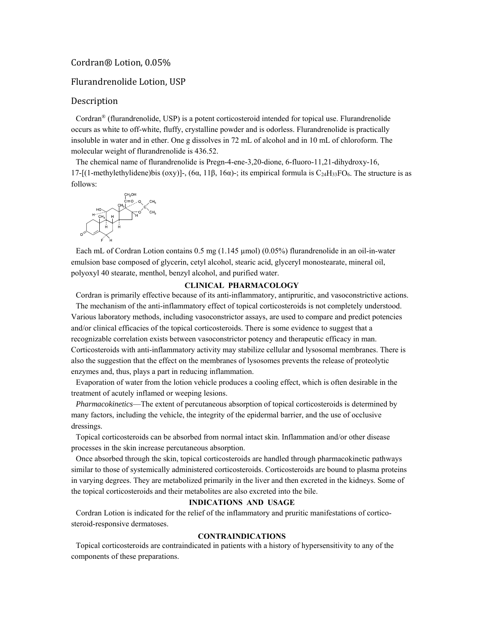## Cordran<sup>®</sup> Lotion, 0.05%

# Flurandrenolide Lotion, USP

# Description

 molecular weight of flurandrenolide is 436.52. Cordran® (flurandrenolide, USP) is a potent corticosteroid intended for topical use. Flurandrenolide occurs as white to off-white, fluffy, crystalline powder and is odorless. Flurandrenolide is practically insoluble in water and in ether. One g dissolves in 72 mL of alcohol and in 10 mL of chloroform. The

17-[(1-methylethylidene)bis (oxy)]-, (6α, 11β, 16α)-; its empirical formula is C<sub>24</sub>H<sub>33</sub>FO<sub>6</sub>. The structure is as The chemical name of flurandrenolide is Pregn-4-ene-3,20-dione, 6-fluoro-11,21-dihydroxy-16, follows:



 Each mL of Cordran Lotion contains 0.5 mg (1.145 µmol) (0.05%) flurandrenolide in an oil-in-water emulsion base composed of glycerin, cetyl alcohol, stearic acid, glyceryl monostearate, mineral oil, polyoxyl 40 stearate, menthol, benzyl alcohol, and purified water.

### **CLINICAL PHARMACOLOGY**

Cordran is primarily effective because of its anti-inflammatory, antipruritic, and vasoconstrictive actions.

 The mechanism of the anti-inflammatory effect of topical corticosteroids is not completely understood. Various laboratory methods, including vasoconstrictor assays, are used to compare and predict potencies enzymes and, thus, plays a part in reducing inflammation. and/or clinical efficacies of the topical corticosteroids. There is some evidence to suggest that a recognizable correlation exists between vasoconstrictor potency and therapeutic efficacy in man. Corticosteroids with anti-inflammatory activity may stabilize cellular and lysosomal membranes. There is also the suggestion that the effect on the membranes of lysosomes prevents the release of proteolytic

 Evaporation of water from the lotion vehicle produces a cooling effect, which is often desirable in the treatment of acutely inflamed or weeping lesions.

*Pharmacokinetics*—The extent of percutaneous absorption of topical corticosteroids is determined by many factors, including the vehicle, the integrity of the epidermal barrier, and the use of occlusive dressings.

Topical corticosteroids can be absorbed from normal intact skin. Inflammation and/or other disease processes in the skin increase percutaneous absorption.<br>Once absorbed through the skin, topical corticosteroids are handled through pharmacokinetic pathways

similar to those of systemically administered corticosteroids. Corticosteroids are bound to plasma proteins in varying degrees. They are metabolized primarily in the liver and then excreted in the kidneys. Some of the topical corticosteroids and their metabolites are also excreted into the bile.

### **INDICATIONS AND USAGE**

Cordran Lotion is indicated for the relief of the inflammatory and pruritic manifestations of corticosteroid-responsive dermatoses.

#### **CONTRAINDICATIONS**

 Topical corticosteroids are contraindicated in patients with a history of hypersensitivity to any of the components of these preparations.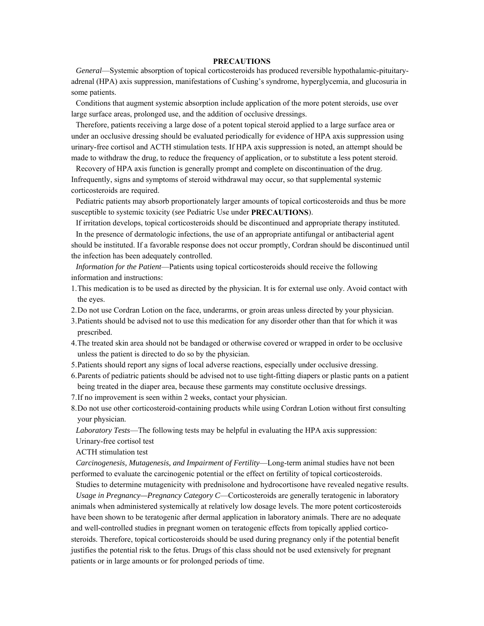### **PRECAUTIONS**

*General*—Systemic absorption of topical corticosteroids has produced reversible hypothalamic-pituitaryadrenal (HPA) axis suppression, manifestations of Cushing's syndrome, hyperglycemia, and glucosuria in some patients.

 Conditions that augment systemic absorption include application of the more potent steroids, use over large surface areas, prolonged use, and the addition of occlusive dressings.

 urinary-free cortisol and ACTH stimulation tests. If HPA axis suppression is noted, an attempt should be made to withdraw the drug, to reduce the frequency of application, or to substitute a less potent steroid. Therefore, patients receiving a large dose of a potent topical steroid applied to a large surface area or under an occlusive dressing should be evaluated periodically for evidence of HPA axis suppression using

 Recovery of HPA axis function is generally prompt and complete on discontinuation of the drug. Infrequently, signs and symptoms of steroid withdrawal may occur, so that supplemental systemic corticosteroids are required.

Pediatric patients may absorb proportionately larger amounts of topical corticosteroids and thus be more susceptible to systemic toxicity (*see* Pediatric Use under **PRECAUTIONS**).

If irritation develops, topical corticosteroids should be discontinued and appropriate therapy instituted.

 In the presence of dermatologic infections, the use of an appropriate antifungal or antibacterial agent should be instituted. If a favorable response does not occur promptly, Cordran should be discontinued until the infection has been adequately controlled.

 information and instructions: *Information for the Patient*—Patients using topical corticosteroids should receive the following

- 1.This medication is to be used as directed by the physician. It is for external use only. Avoid contact with the eyes.
- 2.Do not use Cordran Lotion on the face, underarms, or groin areas unless directed by your physician.
- 3.Patients should be advised not to use this medication for any disorder other than that for which it was prescribed.
- 4.The treated skin area should not be bandaged or otherwise covered or wrapped in order to be occlusive unless the patient is directed to do so by the physician.
- 5.Patients should report any signs of local adverse reactions, especially under occlusive dressing.
- 6.Parents of pediatric patients should be advised not to use tight-fitting diapers or plastic pants on a patient being treated in the diaper area, because these garments may constitute occlusive dressings.
- 7.If no improvement is seen within 2 weeks, contact your physician.
- 8.Do not use other corticosteroid-containing products while using Cordran Lotion without first consulting your physician.
- *Laboratory Tests*—The following tests may be helpful in evaluating the HPA axis suppression:
- Urinary-free cortisol test
- ACTH stimulation test

 performed to evaluate the carcinogenic potential or the effect on fertility of topical corticosteroids. *Carcinogenesis, Mutagenesis, and Impairment of Fertility*—Long-term animal studies have not been

 Studies to determine mutagenicity with prednisolone and hydrocortisone have revealed negative results. *Usage in Pregnancy—Pregnancy Category C*—Corticosteroids are generally teratogenic in laboratory

 have been shown to be teratogenic after dermal application in laboratory animals. There are no adequate steroids. Therefore, topical corticosteroids should be used during pregnancy only if the potential benefit patients or in large amounts or for prolonged periods of time. animals when administered systemically at relatively low dosage levels. The more potent corticosteroids and well-controlled studies in pregnant women on teratogenic effects from topically applied corticojustifies the potential risk to the fetus. Drugs of this class should not be used extensively for pregnant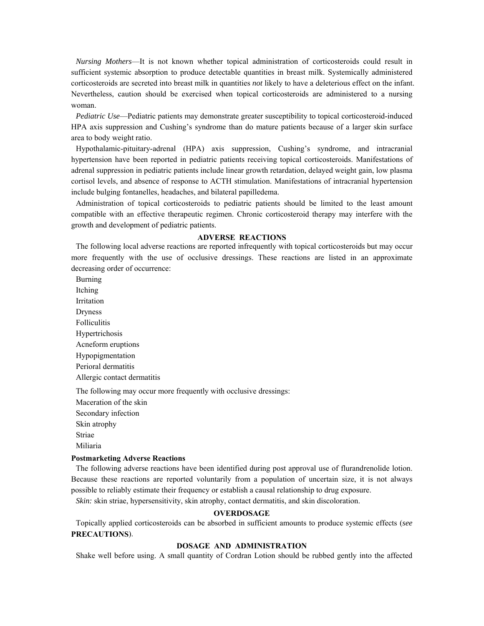*Nursing Mothers*—It is not known whether topical administration of corticosteroids could result in sufficient systemic absorption to produce detectable quantities in breast milk. Systemically administered corticosteroids are secreted into breast milk in quantities *not* likely to have a deleterious effect on the infant. Nevertheless, caution should be exercised when topical corticosteroids are administered to a nursing woman.

 *Pediatric Use*—Pediatric patients may demonstrate greater susceptibility to topical corticosteroid-induced HPA axis suppression and Cushing's syndrome than do mature patients because of a larger skin surface area to body weight ratio.

 hypertension have been reported in pediatric patients receiving topical corticosteroids. Manifestations of adrenal suppression in pediatric patients include linear growth retardation, delayed weight gain, low plasma Hypothalamic-pituitary-adrenal (HPA) axis suppression, Cushing's syndrome, and intracranial cortisol levels, and absence of response to ACTH stimulation. Manifestations of intracranial hypertension include bulging fontanelles, headaches, and bilateral papilledema.

 Administration of topical corticosteroids to pediatric patients should be limited to the least amount compatible with an effective therapeutic regimen. Chronic corticosteroid therapy may interfere with the growth and development of pediatric patients.

#### **ADVERSE REACTIONS**

 The following local adverse reactions are reported infrequently with topical corticosteroids but may occur more frequently with the use of occlusive dressings. These reactions are listed in an approximate decreasing order of occurrence:

Burning Itching Irritation Dryness Folliculitis Hypertrichosis Acneform eruptions Hypopigmentation Perioral dermatitis Allergic contact dermatitis

The following may occur more frequently with occlusive dressings: Maceration of the skin Secondary infection Skin atrophy Striae Miliaria

# **Postmarketing Adverse Reactions**

 The following adverse reactions have been identified during post approval use of flurandrenolide lotion. Because these reactions are reported voluntarily from a population of uncertain size, it is not always possible to reliably estimate their frequency or establish a causal relationship to drug exposure.

*Skin:* skin striae, hypersensitivity, skin atrophy, contact dermatitis, and skin discoloration.

### **OVERDOSAGE**

 Topically applied corticosteroids can be absorbed in sufficient amounts to produce systemic effects (*see*  **PRECAUTIONS**).

# **DOSAGE AND ADMINISTRATION**

Shake well before using. A small quantity of Cordran Lotion should be rubbed gently into the affected